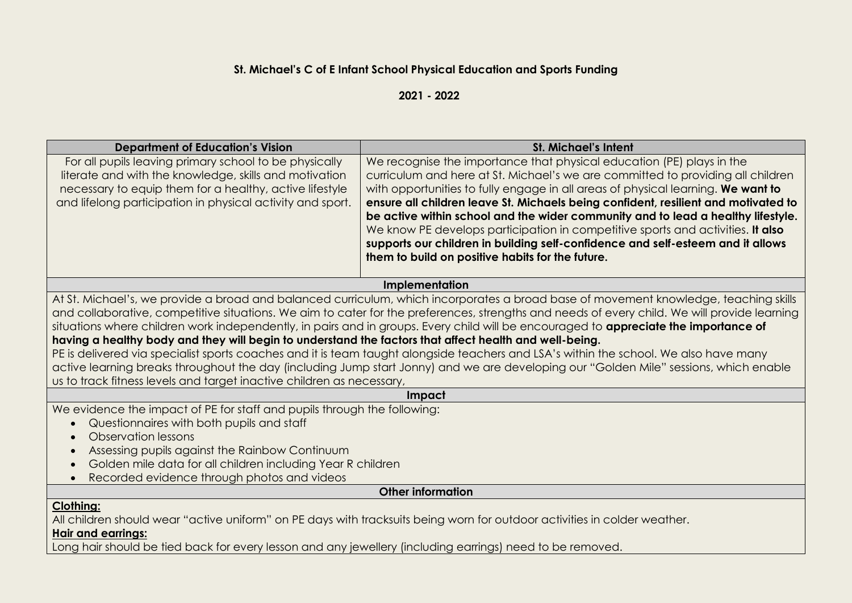## **St. Michael's C of E Infant School Physical Education and Sports Funding**

**2021 - 2022**

| <b>Department of Education's Vision</b>                                                                   | <b>St. Michael's Intent</b>                                                                                                                  |  |  |  |  |  |  |
|-----------------------------------------------------------------------------------------------------------|----------------------------------------------------------------------------------------------------------------------------------------------|--|--|--|--|--|--|
| For all pupils leaving primary school to be physically                                                    | We recognise the importance that physical education (PE) plays in the                                                                        |  |  |  |  |  |  |
| literate and with the knowledge, skills and motivation                                                    | curriculum and here at St. Michael's we are committed to providing all children                                                              |  |  |  |  |  |  |
| necessary to equip them for a healthy, active lifestyle                                                   | with opportunities to fully engage in all areas of physical learning. We want to                                                             |  |  |  |  |  |  |
| and lifelong participation in physical activity and sport.                                                | ensure all children leave St. Michaels being confident, resilient and motivated to                                                           |  |  |  |  |  |  |
|                                                                                                           | be active within school and the wider community and to lead a healthy lifestyle.                                                             |  |  |  |  |  |  |
|                                                                                                           | We know PE develops participation in competitive sports and activities. It also                                                              |  |  |  |  |  |  |
|                                                                                                           | supports our children in building self-confidence and self-esteem and it allows                                                              |  |  |  |  |  |  |
|                                                                                                           | them to build on positive habits for the future.                                                                                             |  |  |  |  |  |  |
|                                                                                                           |                                                                                                                                              |  |  |  |  |  |  |
|                                                                                                           | Implementation                                                                                                                               |  |  |  |  |  |  |
|                                                                                                           | At St. Michael's, we provide a broad and balanced curriculum, which incorporates a broad base of movement knowledge, teaching skills         |  |  |  |  |  |  |
|                                                                                                           | and collaborative, competitive situations. We aim to cater for the preferences, strengths and needs of every child. We will provide learning |  |  |  |  |  |  |
|                                                                                                           | situations where children work independently, in pairs and in groups. Every child will be encouraged to appreciate the importance of         |  |  |  |  |  |  |
| having a healthy body and they will begin to understand the factors that affect health and well-being.    |                                                                                                                                              |  |  |  |  |  |  |
|                                                                                                           | PE is delivered via specialist sports coaches and it is team taught alongside teachers and LSA's within the school. We also have many        |  |  |  |  |  |  |
|                                                                                                           | active learning breaks throughout the day (including Jump start Jonny) and we are developing our "Golden Mile" sessions, which enable        |  |  |  |  |  |  |
| us to track fitness levels and target inactive children as necessary,                                     |                                                                                                                                              |  |  |  |  |  |  |
|                                                                                                           | Impact                                                                                                                                       |  |  |  |  |  |  |
| We evidence the impact of PE for staff and pupils through the following:                                  |                                                                                                                                              |  |  |  |  |  |  |
| Questionnaires with both pupils and staff                                                                 |                                                                                                                                              |  |  |  |  |  |  |
| Observation lessons                                                                                       |                                                                                                                                              |  |  |  |  |  |  |
| Assessing pupils against the Rainbow Continuum<br>$\bullet$                                               |                                                                                                                                              |  |  |  |  |  |  |
|                                                                                                           | Golden mile data for all children including Year R children                                                                                  |  |  |  |  |  |  |
| Recorded evidence through photos and videos<br>$\bullet$                                                  |                                                                                                                                              |  |  |  |  |  |  |
| <b>Other information</b>                                                                                  |                                                                                                                                              |  |  |  |  |  |  |
| <b>Clothing:</b>                                                                                          |                                                                                                                                              |  |  |  |  |  |  |
|                                                                                                           | All children should wear "active uniform" on PE days with tracksuits being worn for outdoor activities in colder weather.                    |  |  |  |  |  |  |
| <b>Hair and earrings:</b>                                                                                 |                                                                                                                                              |  |  |  |  |  |  |
| Long hair should be tied back for every lesson and any jewellery (including earrings) need to be removed. |                                                                                                                                              |  |  |  |  |  |  |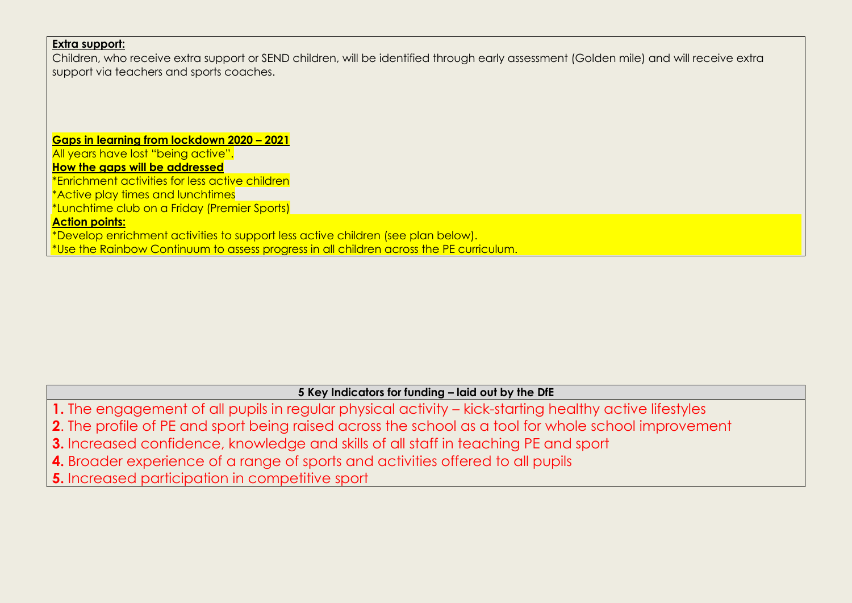### **Extra support:**

Children, who receive extra support or SEND children, will be identified through early assessment (Golden mile) and will receive extra support via teachers and sports coaches.

## **Gaps in learning from lockdown 2020 – 2021**

All years have lost "being active".

**How the gaps will be addressed**

\*Enrichment activities for less active children

\*Active play times and lunchtimes

\*Lunchtime club on a Friday (Premier Sports)

#### **Action points:**

\*Develop enrichment activities to support less active children (see plan below). \*Use the Rainbow Continuum to assess progress in all children across the PE curriculum.

# **5 Key Indicators for funding – laid out by the DfE 1.** The engagement of all pupils in regular physical activity – kick-starting healthy active lifestyles **2**. The profile of PE and sport being raised across the school as a tool for whole school improvement **3.** Increased confidence, knowledge and skills of all staff in teaching PE and sport **4.** Broader experience of a range of sports and activities offered to all pupils **5.** Increased participation in competitive sport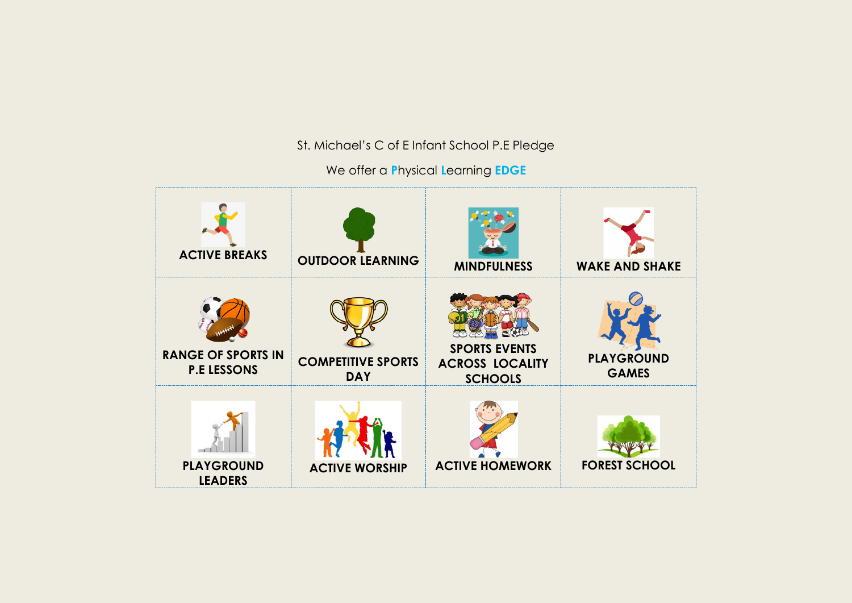St. Michael's C of E Infant School P.E Pledge

We offer a **P**hysical **L**earning **EDGE**

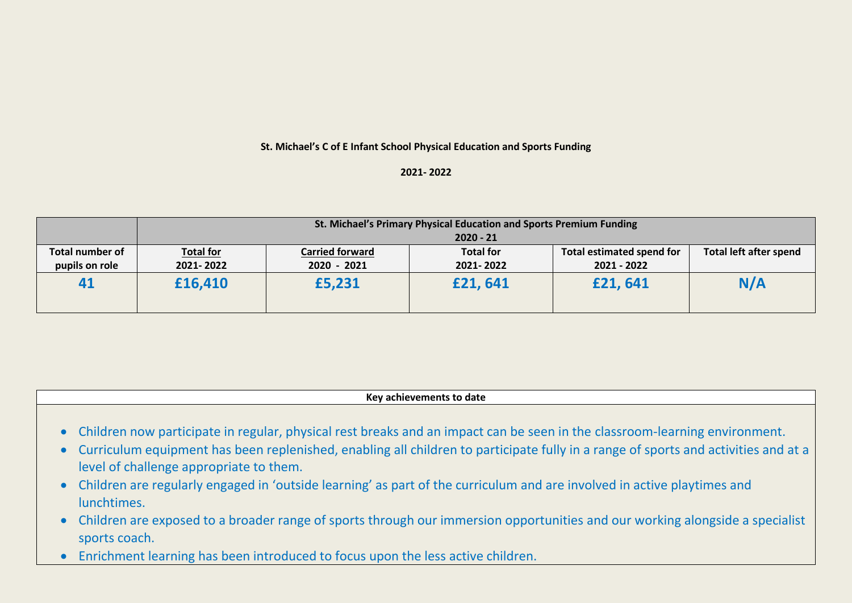#### **St. Michael's C of E Infant School Physical Education and Sports Funding**

#### **2021- 2022**

|                 | St. Michael's Primary Physical Education and Sports Premium Funding |                        |                  |                           |                               |  |  |  |  |  |
|-----------------|---------------------------------------------------------------------|------------------------|------------------|---------------------------|-------------------------------|--|--|--|--|--|
|                 |                                                                     | $2020 - 21$            |                  |                           |                               |  |  |  |  |  |
| Total number of | <b>Total for</b>                                                    | <b>Carried forward</b> | <b>Total for</b> | Total estimated spend for | <b>Total left after spend</b> |  |  |  |  |  |
| pupils on role  | 2021-2022                                                           | 2020 - 2021            | 2021-2022        | 2021 - 2022               |                               |  |  |  |  |  |
| 41              | £16,410                                                             | £5,231                 | £21,641          | £21,641                   | N/A                           |  |  |  |  |  |

**Key achievements to date**

- Children now participate in regular, physical rest breaks and an impact can be seen in the classroom-learning environment.
- Curriculum equipment has been replenished, enabling all children to participate fully in a range of sports and activities and at a level of challenge appropriate to them.
- Children are regularly engaged in 'outside learning' as part of the curriculum and are involved in active playtimes and lunchtimes.
- Children are exposed to a broader range of sports through our immersion opportunities and our working alongside a specialist sports coach.
- Enrichment learning has been introduced to focus upon the less active children.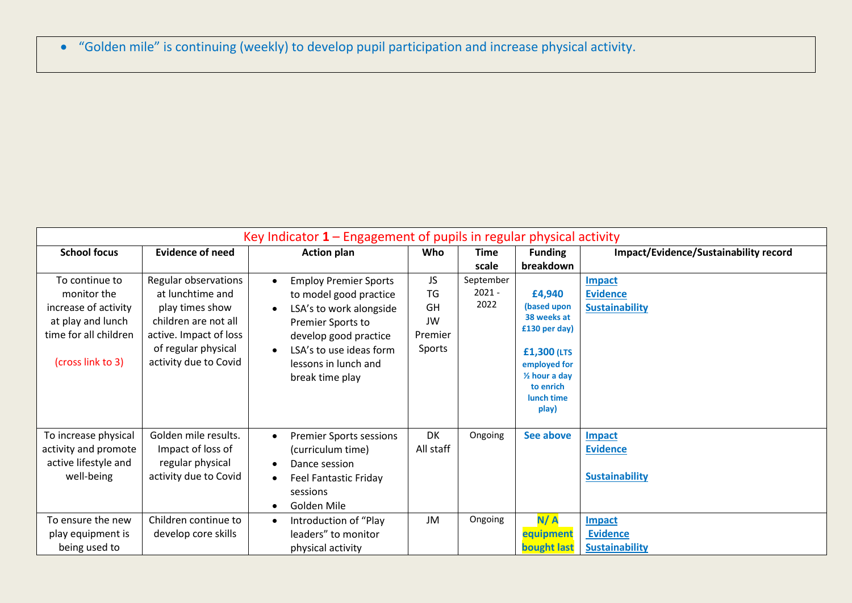"Golden mile" is continuing (weekly) to develop pupil participation and increase physical activity.

| Key Indicator $1 -$ Engagement of pupils in regular physical activity                                                    |                                                                                                                                                               |                                                                                                                                                                                                                                              |                                                  |                             |                                                                                                                                                      |                                                           |
|--------------------------------------------------------------------------------------------------------------------------|---------------------------------------------------------------------------------------------------------------------------------------------------------------|----------------------------------------------------------------------------------------------------------------------------------------------------------------------------------------------------------------------------------------------|--------------------------------------------------|-----------------------------|------------------------------------------------------------------------------------------------------------------------------------------------------|-----------------------------------------------------------|
| <b>School focus</b>                                                                                                      | <b>Evidence of need</b>                                                                                                                                       | <b>Action plan</b>                                                                                                                                                                                                                           | Who                                              | Time<br>scale               | <b>Funding</b><br>breakdown                                                                                                                          | Impact/Evidence/Sustainability record                     |
| To continue to<br>monitor the<br>increase of activity<br>at play and lunch<br>time for all children<br>(cross link to 3) | Regular observations<br>at lunchtime and<br>play times show<br>children are not all<br>active. Impact of loss<br>of regular physical<br>activity due to Covid | <b>Employ Premier Sports</b><br>$\bullet$<br>to model good practice<br>LSA's to work alongside<br>$\bullet$<br>Premier Sports to<br>develop good practice<br>LSA's to use ideas form<br>$\bullet$<br>lessons in lunch and<br>break time play | <b>JS</b><br>TG<br>GH<br>JW<br>Premier<br>Sports | September<br>2021 -<br>2022 | £4,940<br>(based upon<br>38 weeks at<br>£130 per day)<br>£1,300 (LTS<br>employed for<br>$\frac{1}{2}$ hour a day<br>to enrich<br>lunch time<br>play) | <b>Impact</b><br><b>Evidence</b><br><b>Sustainability</b> |
| To increase physical<br>activity and promote<br>active lifestyle and<br>well-being                                       | Golden mile results.<br>Impact of loss of<br>regular physical<br>activity due to Covid                                                                        | <b>Premier Sports sessions</b><br>$\bullet$<br>(curriculum time)<br>Dance session<br>$\bullet$<br><b>Feel Fantastic Friday</b><br>$\bullet$<br>sessions<br>Golden Mile<br>$\bullet$                                                          | DK<br>All staff                                  | Ongoing                     | See above                                                                                                                                            | <b>Impact</b><br><b>Evidence</b><br><b>Sustainability</b> |
| To ensure the new<br>play equipment is<br>being used to                                                                  | Children continue to<br>develop core skills                                                                                                                   | Introduction of "Play<br>$\bullet$<br>leaders" to monitor<br>physical activity                                                                                                                                                               | JM                                               | Ongoing                     | N/A<br>equipment<br><b>bought last</b>                                                                                                               | <b>Impact</b><br><b>Evidence</b><br><b>Sustainability</b> |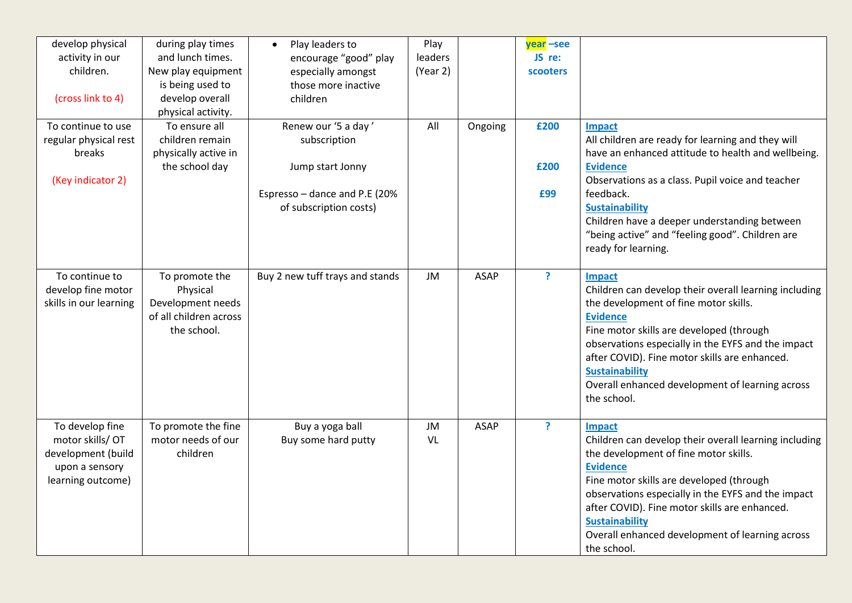| develop physical<br>activity in our<br>children.<br>(cross link to 4)                           | during play times<br>and lunch times.<br>New play equipment<br>is being used to<br>develop overall<br>physical activity. | Play leaders to<br>$\bullet$<br>encourage "good" play<br>especially amongst<br>those more inactive<br>children     | Play<br>leaders<br>(Year 2) |             | year -see<br>JS re:<br><b>scooters</b> |                                                                                                                                                                                                                                                                                                                                                                           |
|-------------------------------------------------------------------------------------------------|--------------------------------------------------------------------------------------------------------------------------|--------------------------------------------------------------------------------------------------------------------|-----------------------------|-------------|----------------------------------------|---------------------------------------------------------------------------------------------------------------------------------------------------------------------------------------------------------------------------------------------------------------------------------------------------------------------------------------------------------------------------|
| To continue to use<br>regular physical rest<br>breaks<br>(Key indicator 2)                      | To ensure all<br>children remain<br>physically active in<br>the school day                                               | Renew our '5 a day'<br>subscription<br>Jump start Jonny<br>Espresso - dance and P.E (20%<br>of subscription costs) | All                         | Ongoing     | £200<br>£200<br>£99                    | <b>Impact</b><br>All children are ready for learning and they will<br>have an enhanced attitude to health and wellbeing.<br><b>Evidence</b><br>Observations as a class. Pupil voice and teacher<br>feedback.<br><b>Sustainability</b><br>Children have a deeper understanding between<br>"being active" and "feeling good". Children are<br>ready for learning.           |
| To continue to<br>develop fine motor<br>skills in our learning                                  | To promote the<br>Physical<br>Development needs<br>of all children across<br>the school.                                 | Buy 2 new tuff trays and stands                                                                                    | <b>JM</b>                   | <b>ASAP</b> | <sup>?</sup>                           | Impact<br>Children can develop their overall learning including<br>the development of fine motor skills.<br><b>Evidence</b><br>Fine motor skills are developed (through<br>observations especially in the EYFS and the impact<br>after COVID). Fine motor skills are enhanced.<br><b>Sustainability</b><br>Overall enhanced development of learning across<br>the school. |
| To develop fine<br>motor skills/OT<br>development (build<br>upon a sensory<br>learning outcome) | To promote the fine<br>motor needs of our<br>children                                                                    | Buy a yoga ball<br>Buy some hard putty                                                                             | <b>JM</b><br>VL             | ASAP        | ?                                      | Impact<br>Children can develop their overall learning including<br>the development of fine motor skills.<br><b>Evidence</b><br>Fine motor skills are developed (through<br>observations especially in the EYFS and the impact<br>after COVID). Fine motor skills are enhanced.<br><b>Sustainability</b><br>Overall enhanced development of learning across<br>the school. |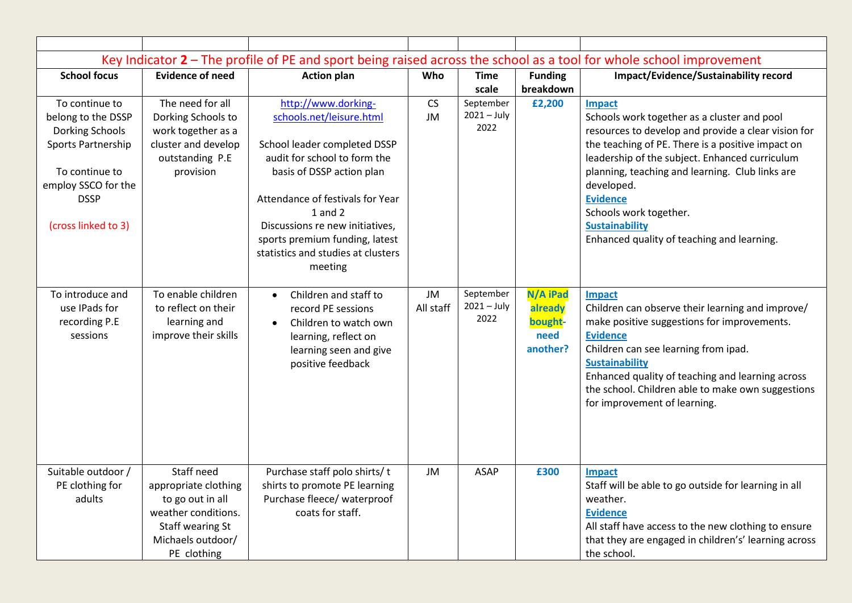|                        |                                              |                                                 |           |               |                | Key Indicator $2$ – The profile of PE and sport being raised across the school as a tool for whole school improvement |
|------------------------|----------------------------------------------|-------------------------------------------------|-----------|---------------|----------------|-----------------------------------------------------------------------------------------------------------------------|
| <b>School focus</b>    | <b>Evidence of need</b>                      | <b>Action plan</b>                              | Who       | <b>Time</b>   | <b>Funding</b> | Impact/Evidence/Sustainability record                                                                                 |
|                        |                                              |                                                 |           | scale         | breakdown      |                                                                                                                       |
| To continue to         | The need for all                             | http://www.dorking-                             | CS        | September     | £2,200         | <b>Impact</b>                                                                                                         |
| belong to the DSSP     | Dorking Schools to                           | schools.net/leisure.html                        | JM        | $2021 - July$ |                | Schools work together as a cluster and pool                                                                           |
| <b>Dorking Schools</b> | work together as a                           |                                                 |           | 2022          |                | resources to develop and provide a clear vision for                                                                   |
| Sports Partnership     | cluster and develop                          | School leader completed DSSP                    |           |               |                | the teaching of PE. There is a positive impact on                                                                     |
|                        | outstanding P.E                              | audit for school to form the                    |           |               |                | leadership of the subject. Enhanced curriculum                                                                        |
| To continue to         | provision                                    | basis of DSSP action plan                       |           |               |                | planning, teaching and learning. Club links are                                                                       |
| employ SSCO for the    |                                              |                                                 |           |               |                | developed.                                                                                                            |
| <b>DSSP</b>            |                                              | Attendance of festivals for Year                |           |               |                | <b>Evidence</b>                                                                                                       |
|                        |                                              | $1$ and $2$                                     |           |               |                | Schools work together.                                                                                                |
| (cross linked to 3)    |                                              | Discussions re new initiatives,                 |           |               |                | <b>Sustainability</b>                                                                                                 |
|                        |                                              | sports premium funding, latest                  |           |               |                | Enhanced quality of teaching and learning.                                                                            |
|                        |                                              | statistics and studies at clusters              |           |               |                |                                                                                                                       |
|                        |                                              | meeting                                         |           |               |                |                                                                                                                       |
|                        |                                              |                                                 |           |               |                |                                                                                                                       |
| To introduce and       | To enable children                           | Children and staff to<br>$\bullet$              | JM        | September     | N/A iPad       | Impact                                                                                                                |
| use IPads for          | to reflect on their                          | record PE sessions                              | All staff | $2021 - July$ | already        | Children can observe their learning and improve/                                                                      |
| recording P.E          | learning and                                 | Children to watch own<br>$\bullet$              |           | 2022          | bought-        | make positive suggestions for improvements.                                                                           |
| sessions               | improve their skills                         | learning, reflect on                            |           |               | need           | <b>Evidence</b>                                                                                                       |
|                        |                                              | learning seen and give                          |           |               | another?       | Children can see learning from ipad.                                                                                  |
|                        |                                              | positive feedback                               |           |               |                | <b>Sustainability</b>                                                                                                 |
|                        |                                              |                                                 |           |               |                | Enhanced quality of teaching and learning across                                                                      |
|                        |                                              |                                                 |           |               |                | the school. Children able to make own suggestions                                                                     |
|                        |                                              |                                                 |           |               |                | for improvement of learning.                                                                                          |
|                        |                                              |                                                 |           |               |                |                                                                                                                       |
|                        |                                              |                                                 |           |               |                |                                                                                                                       |
|                        |                                              |                                                 |           |               |                |                                                                                                                       |
|                        | Staff need                                   |                                                 |           |               |                |                                                                                                                       |
| Suitable outdoor /     |                                              | Purchase staff polo shirts/t                    | JM        | <b>ASAP</b>   | £300           | <b>Impact</b>                                                                                                         |
| PE clothing for        | appropriate clothing                         | shirts to promote PE learning                   |           |               |                | Staff will be able to go outside for learning in all                                                                  |
| adults                 | to go out in all                             | Purchase fleece/ waterproof<br>coats for staff. |           |               |                | weather.                                                                                                              |
|                        | weather conditions.                          |                                                 |           |               |                | <b>Evidence</b>                                                                                                       |
|                        | <b>Staff wearing St</b><br>Michaels outdoor/ |                                                 |           |               |                | All staff have access to the new clothing to ensure                                                                   |
|                        |                                              |                                                 |           |               |                | that they are engaged in children's' learning across                                                                  |
|                        | PE clothing                                  |                                                 |           |               |                | the school.                                                                                                           |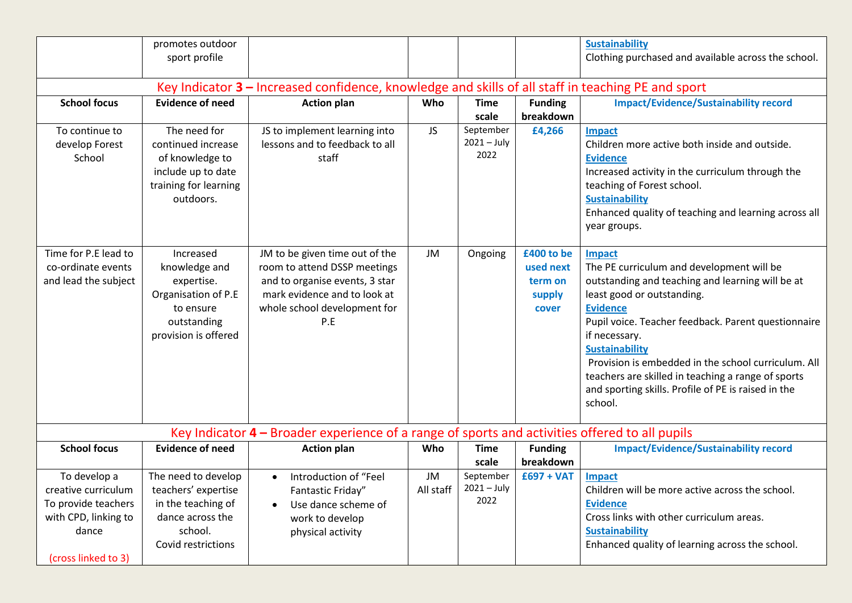|                                                                                                                    | promotes outdoor<br>sport profile                                                                                     |                                                                                                                                                                         |                 |                                    |                                                       | <b>Sustainability</b><br>Clothing purchased and available across the school.                                                                                                                                                                                                                                                                                                                                                                    |  |  |
|--------------------------------------------------------------------------------------------------------------------|-----------------------------------------------------------------------------------------------------------------------|-------------------------------------------------------------------------------------------------------------------------------------------------------------------------|-----------------|------------------------------------|-------------------------------------------------------|-------------------------------------------------------------------------------------------------------------------------------------------------------------------------------------------------------------------------------------------------------------------------------------------------------------------------------------------------------------------------------------------------------------------------------------------------|--|--|
| Key Indicator 3 - Increased confidence, knowledge and skills of all staff in teaching PE and sport                 |                                                                                                                       |                                                                                                                                                                         |                 |                                    |                                                       |                                                                                                                                                                                                                                                                                                                                                                                                                                                 |  |  |
| <b>School focus</b>                                                                                                | <b>Evidence of need</b>                                                                                               | <b>Action plan</b>                                                                                                                                                      | Who             | <b>Time</b><br>scale               | <b>Funding</b><br>breakdown                           | <b>Impact/Evidence/Sustainability record</b>                                                                                                                                                                                                                                                                                                                                                                                                    |  |  |
| To continue to<br>develop Forest<br>School                                                                         | The need for<br>continued increase<br>of knowledge to<br>include up to date<br>training for learning<br>outdoors.     | JS to implement learning into<br>lessons and to feedback to all<br>staff                                                                                                | JS.             | September<br>$2021 - July$<br>2022 | £4,266                                                | <b>Impact</b><br>Children more active both inside and outside.<br><b>Evidence</b><br>Increased activity in the curriculum through the<br>teaching of Forest school.<br><b>Sustainability</b><br>Enhanced quality of teaching and learning across all<br>year groups.                                                                                                                                                                            |  |  |
| Time for P.E lead to<br>co-ordinate events<br>and lead the subject                                                 | Increased<br>knowledge and<br>expertise.<br>Organisation of P.E<br>to ensure<br>outstanding<br>provision is offered   | JM to be given time out of the<br>room to attend DSSP meetings<br>and to organise events, 3 star<br>mark evidence and to look at<br>whole school development for<br>P.E | JM              | Ongoing                            | £400 to be<br>used next<br>term on<br>supply<br>cover | <b>Impact</b><br>The PE curriculum and development will be<br>outstanding and teaching and learning will be at<br>least good or outstanding.<br><b>Evidence</b><br>Pupil voice. Teacher feedback. Parent questionnaire<br>if necessary.<br><b>Sustainability</b><br>Provision is embedded in the school curriculum. All<br>teachers are skilled in teaching a range of sports<br>and sporting skills. Profile of PE is raised in the<br>school. |  |  |
|                                                                                                                    |                                                                                                                       | Key Indicator 4 - Broader experience of a range of sports and activities offered to all pupils                                                                          |                 |                                    |                                                       |                                                                                                                                                                                                                                                                                                                                                                                                                                                 |  |  |
| <b>School focus</b>                                                                                                | <b>Evidence of need</b>                                                                                               | <b>Action plan</b>                                                                                                                                                      | Who             | <b>Time</b><br>scale               | <b>Funding</b><br>breakdown                           | <b>Impact/Evidence/Sustainability record</b>                                                                                                                                                                                                                                                                                                                                                                                                    |  |  |
| To develop a<br>creative curriculum<br>To provide teachers<br>with CPD, linking to<br>dance<br>(cross linked to 3) | The need to develop<br>teachers' expertise<br>in the teaching of<br>dance across the<br>school.<br>Covid restrictions | Introduction of "Feel<br>$\bullet$<br>Fantastic Friday"<br>Use dance scheme of<br>$\bullet$<br>work to develop<br>physical activity                                     | JM<br>All staff | September<br>$2021 - July$<br>2022 | $£697 + VAT$                                          | Impact<br>Children will be more active across the school.<br><b>Evidence</b><br>Cross links with other curriculum areas.<br><b>Sustainability</b><br>Enhanced quality of learning across the school.                                                                                                                                                                                                                                            |  |  |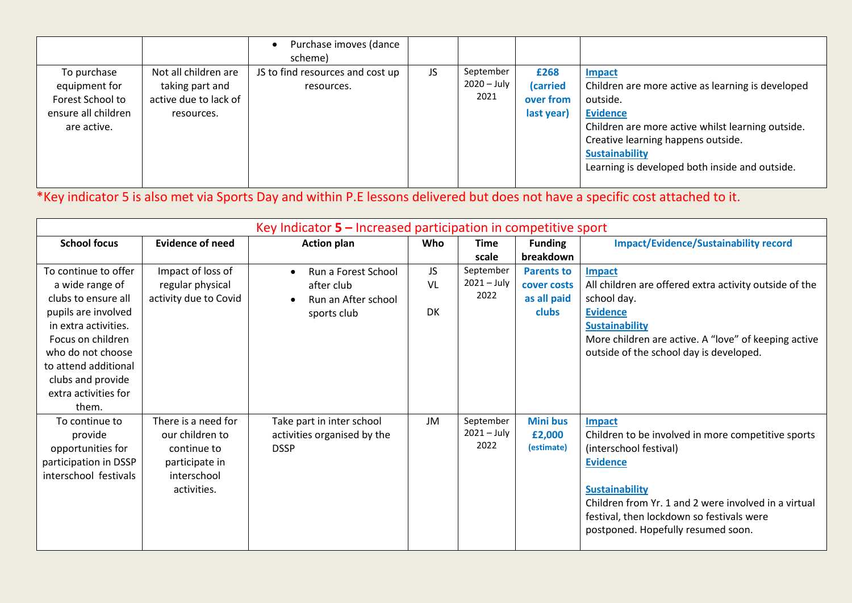|                                                                                        |                                                                                | Purchase imoves (dance<br>scheme)              |     |                                    |                                             |                                                                                                                                                                                                                                                                         |
|----------------------------------------------------------------------------------------|--------------------------------------------------------------------------------|------------------------------------------------|-----|------------------------------------|---------------------------------------------|-------------------------------------------------------------------------------------------------------------------------------------------------------------------------------------------------------------------------------------------------------------------------|
| To purchase<br>equipment for<br>Forest School to<br>ensure all children<br>are active. | Not all children are<br>taking part and<br>active due to lack of<br>resources. | JS to find resources and cost up<br>resources. | JS. | September<br>$2020 - July$<br>2021 | £268<br>(carried<br>over from<br>last year) | <b>Impact</b><br>Children are more active as learning is developed<br>outside.<br><b>Evidence</b><br>Children are more active whilst learning outside.<br>Creative learning happens outside.<br><b>Sustainability</b><br>Learning is developed both inside and outside. |

\*Key indicator 5 is also met via Sports Day and within P.E lessons delivered but does not have a specific cost attached to it.

| Key Indicator $5$ – Increased participation in competitive sport                                                                                                                                                                      |                                                                                                       |                                                                         |                  |                                    |                                                                 |                                                                                                                                                                                                                                                                                      |  |
|---------------------------------------------------------------------------------------------------------------------------------------------------------------------------------------------------------------------------------------|-------------------------------------------------------------------------------------------------------|-------------------------------------------------------------------------|------------------|------------------------------------|-----------------------------------------------------------------|--------------------------------------------------------------------------------------------------------------------------------------------------------------------------------------------------------------------------------------------------------------------------------------|--|
| <b>School focus</b>                                                                                                                                                                                                                   | <b>Evidence of need</b>                                                                               | <b>Action plan</b>                                                      | Who              | <b>Time</b><br>scale               | <b>Funding</b><br>breakdown                                     | <b>Impact/Evidence/Sustainability record</b>                                                                                                                                                                                                                                         |  |
| To continue to offer<br>a wide range of<br>clubs to ensure all<br>pupils are involved<br>in extra activities.<br>Focus on children<br>who do not choose<br>to attend additional<br>clubs and provide<br>extra activities for<br>them. | Impact of loss of<br>regular physical<br>activity due to Covid                                        | Run a Forest School<br>after club<br>Run an After school<br>sports club | JS.<br>VL<br>DK. | September<br>$2021 - July$<br>2022 | <b>Parents to</b><br>cover costs<br>as all paid<br><b>clubs</b> | <b>Impact</b><br>All children are offered extra activity outside of the<br>school day.<br><b>Evidence</b><br><b>Sustainability</b><br>More children are active. A "love" of keeping active<br>outside of the school day is developed.                                                |  |
| To continue to<br>provide<br>opportunities for<br>participation in DSSP<br>interschool festivals                                                                                                                                      | There is a need for<br>our children to<br>continue to<br>participate in<br>interschool<br>activities. | Take part in inter school<br>activities organised by the<br><b>DSSP</b> | JM               | September<br>$2021 - July$<br>2022 | <b>Mini bus</b><br>£2,000<br>(estimate)                         | <b>Impact</b><br>Children to be involved in more competitive sports<br>(interschool festival)<br><b>Evidence</b><br><b>Sustainability</b><br>Children from Yr. 1 and 2 were involved in a virtual<br>festival, then lockdown so festivals were<br>postponed. Hopefully resumed soon. |  |